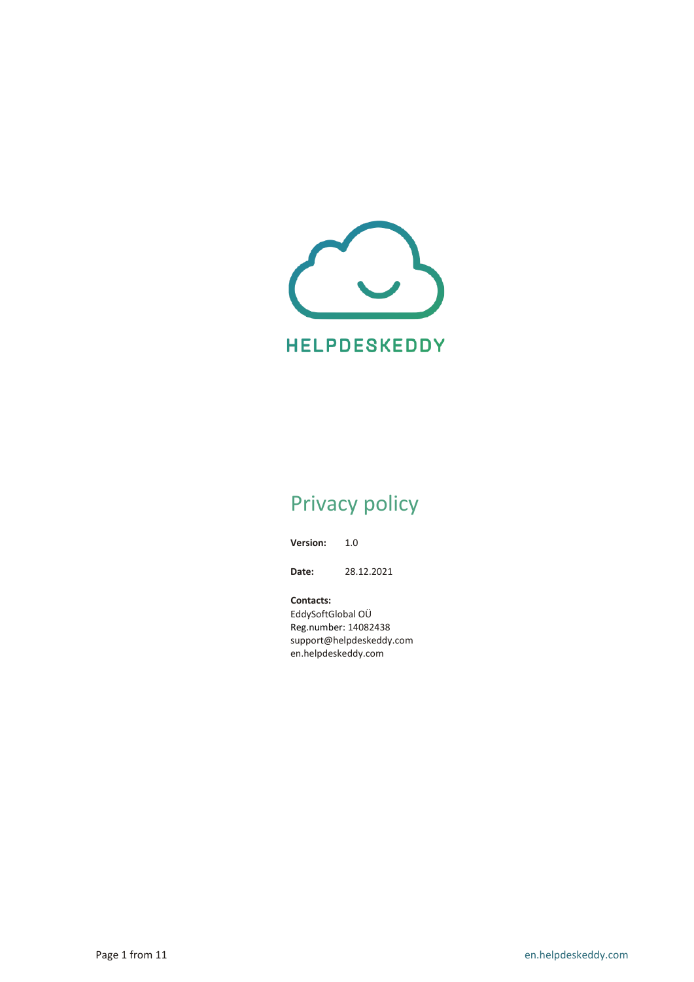

# Privacy policy

**Version:** 1.0

**Date:** 28.12.2021

**Contacts:** EddySoftGlobal OÜ Reg.number: 14082438 support@helpdeskeddy.com [en.helpdeskeddy.com](http://www.helpdeskeddy.com/)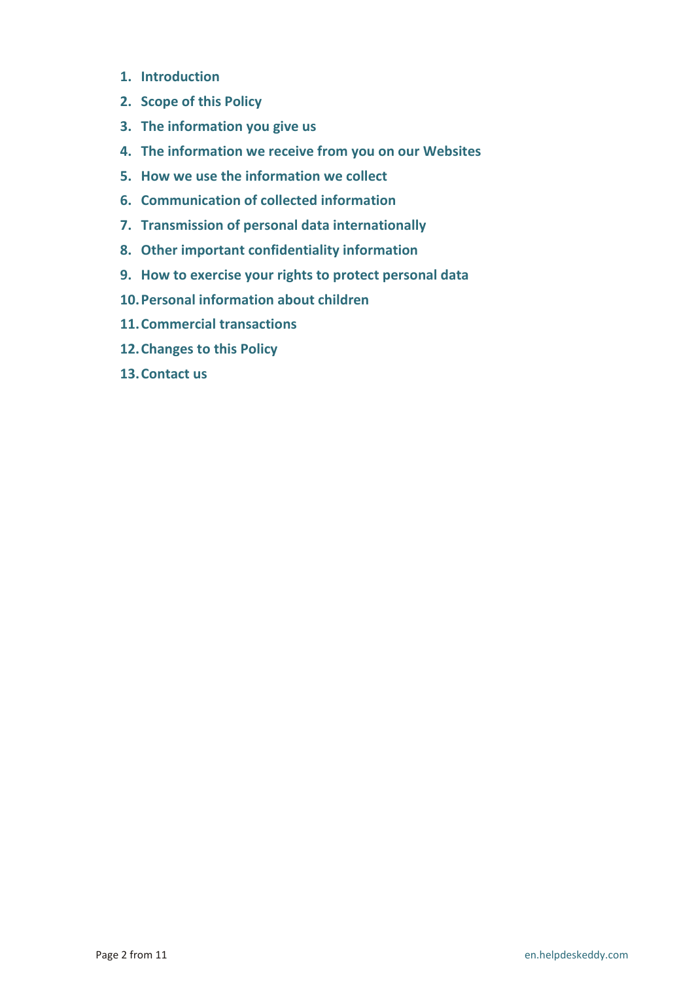- **1. Introduction**
- **2. Scope of this Policy**
- **3. The information you give us**
- **4. The information we receive from you on our Websites**
- **5. How we use the information we collect**
- **6. Communication of collected information**
- **7. Transmission of personal data internationally**
- **8. Other important confidentiality information**
- **9. How to exercise your rights to protect personal data**
- **10.Personal information about children**
- **11.Commercial transactions**
- **12.Changes to this Policy**
- **13.Contact us**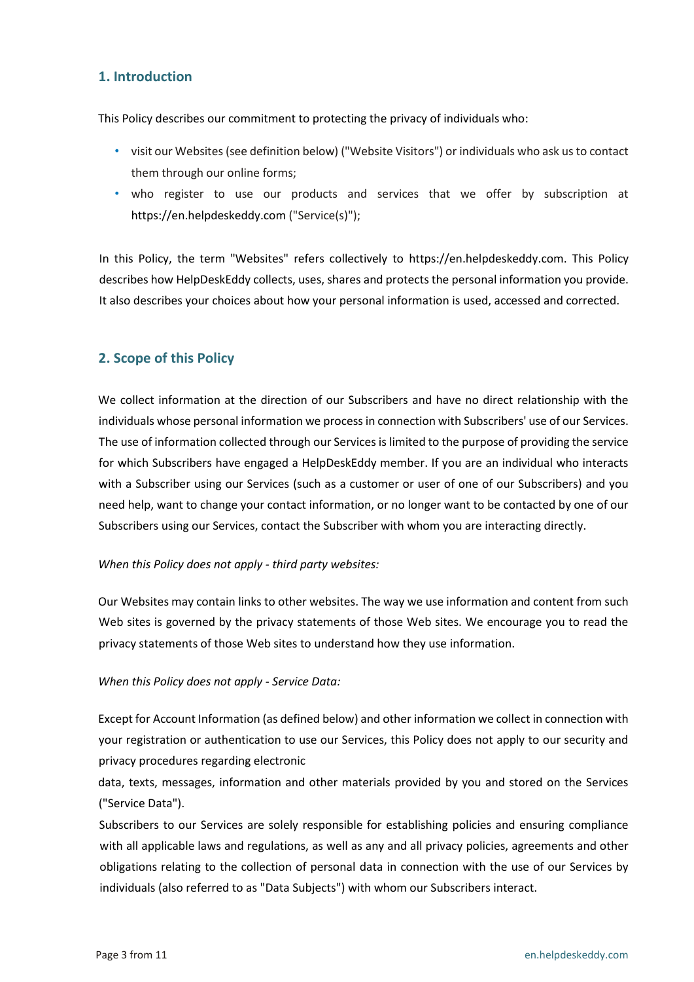# **1. Introduction**

This Policy describes our commitment to protecting the privacy of individuals who:

- visit our Websites(see definition below) ("Website Visitors") or individuals who ask us to contact them through our online forms;
- who register to use our products and services that we offer by subscription at https://en.helpdeskeddy.com ("Service(s)");

In this Policy, the term "Websites" refers collectively to https://en.helpdeskeddy.com. This Policy describes how HelpDeskEddy collects, uses, shares and protects the personal information you provide. It also describes your choices about how your personal information is used, accessed and corrected.

# **2. Scope of this Policy**

We collect information at the direction of our Subscribers and have no direct relationship with the individuals whose personal information we process in connection with Subscribers' use of our Services. The use of information collected through our Services is limited to the purpose of providing the service for which Subscribers have engaged a HelpDeskEddy member. If you are an individual who interacts with a Subscriber using our Services (such as a customer or user of one of our Subscribers) and you need help, want to change your contact information, or no longer want to be contacted by one of our Subscribers using our Services, contact the Subscriber with whom you are interacting directly.

## *When this Policy does not apply - third party websites:*

Our Websites may contain links to other websites. The way we use information and content from such Web sites is governed by the privacy statements of those Web sites. We encourage you to read the privacy statements of those Web sites to understand how they use information.

## *When this Policy does not apply - Service Data:*

Except for Account Information (as defined below) and other information we collect in connection with your registration or authentication to use our Services, this Policy does not apply to our security and privacy procedures regarding electronic

data, texts, messages, information and other materials provided by you and stored on the Services ("Service Data").

Subscribers to our Services are solely responsible for establishing policies and ensuring compliance with all applicable laws and regulations, as well as any and all privacy policies, agreements and other obligations relating to the collection of personal data in connection with the use of our Services by individuals (also referred to as "Data Subjects") with whom our Subscribers interact.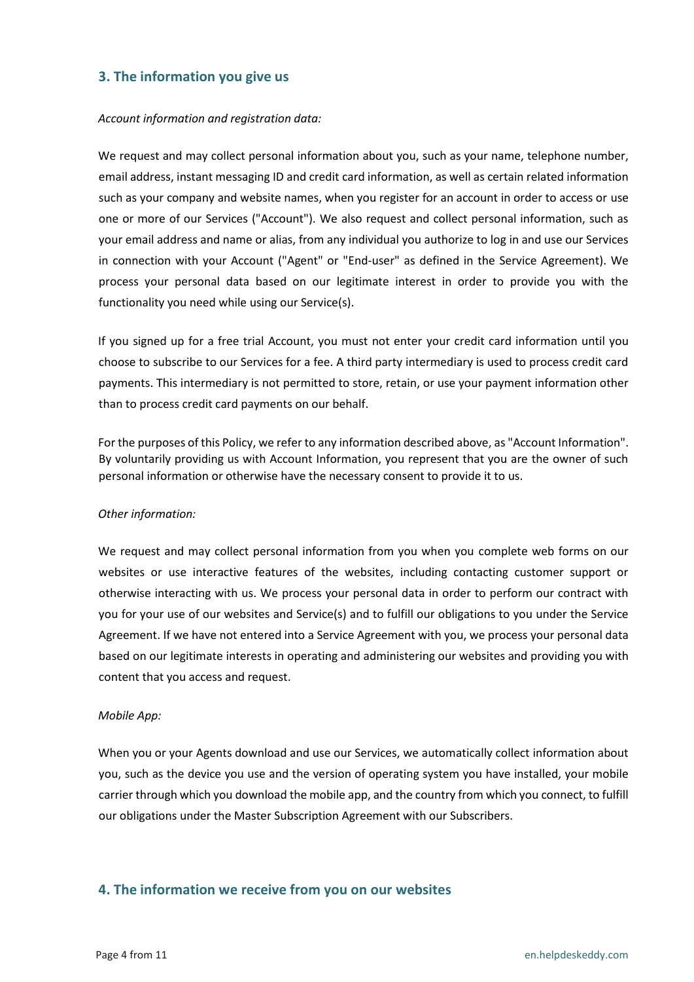# **3. The information you give us**

## *Account information and registration data:*

We request and may collect personal information about you, such as your name, telephone number, email address, instant messaging ID and credit card information, as well as certain related information such as your company and website names, when you register for an account in order to access or use one or more of our Services ("Account"). We also request and collect personal information, such as your email address and name or alias, from any individual you authorize to log in and use our Services in connection with your Account ("Agent" or "End-user" as defined in the Service Agreement). We process your personal data based on our legitimate interest in order to provide you with the functionality you need while using our Service(s).

If you signed up for a free trial Account, you must not enter your credit card information until you choose to subscribe to our Services for a fee. A third party intermediary is used to process credit card payments. This intermediary is not permitted to store, retain, or use your payment information other than to process credit card payments on our behalf.

For the purposes of this Policy, we refer to any information described above, as "Account Information". By voluntarily providing us with Account Information, you represent that you are the owner of such personal information or otherwise have the necessary consent to provide it to us.

## *Other information:*

We request and may collect personal information from you when you complete web forms on our websites or use interactive features of the websites, including contacting customer support or otherwise interacting with us. We process your personal data in order to perform our contract with you for your use of our websites and Service(s) and to fulfill our obligations to you under the Service Agreement. If we have not entered into a Service Agreement with you, we process your personal data based on our legitimate interests in operating and administering our websites and providing you with content that you access and request.

## *Mobile App:*

When you or your Agents download and use our Services, we automatically collect information about you, such as the device you use and the version of operating system you have installed, your mobile carrier through which you download the mobile app, and the country from which you connect, to fulfill our obligations under the Master Subscription Agreement with our Subscribers.

# **4. The information we receive from you on our websites**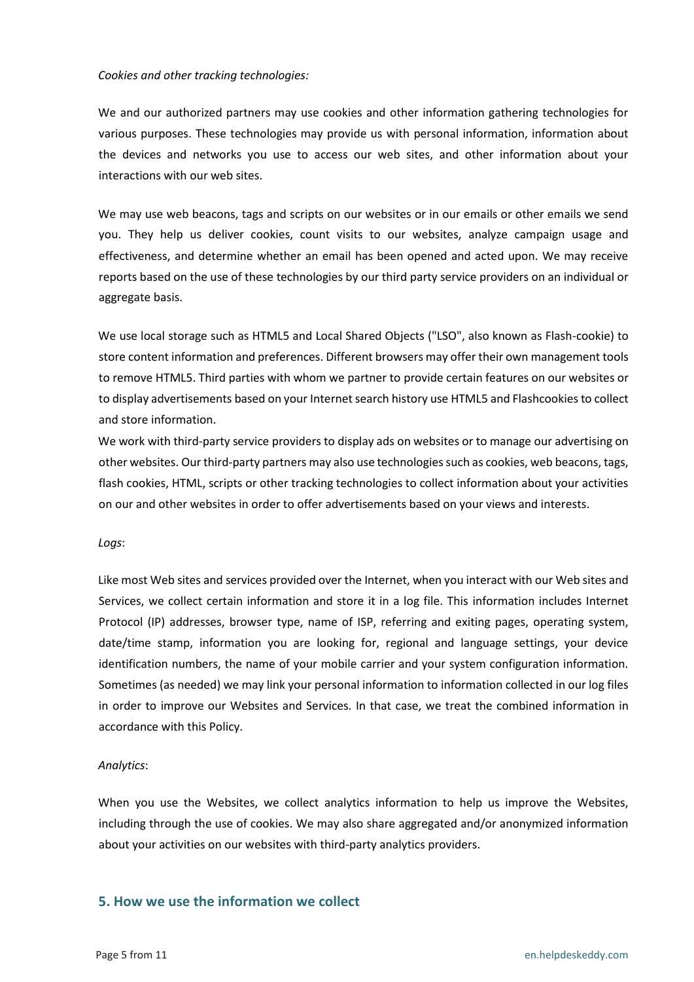#### *Cookies and other tracking technologies:*

We and our authorized partners may use cookies and other information gathering technologies for various purposes. These technologies may provide us with personal information, information about the devices and networks you use to access our web sites, and other information about your interactions with our web sites.

We may use web beacons, tags and scripts on our websites or in our emails or other emails we send you. They help us deliver cookies, count visits to our websites, analyze campaign usage and effectiveness, and determine whether an email has been opened and acted upon. We may receive reports based on the use of these technologies by our third party service providers on an individual or aggregate basis.

We use local storage such as HTML5 and Local Shared Objects ("LSO", also known as Flash-cookie) to store content information and preferences. Different browsers may offer their own management tools to remove HTML5. Third parties with whom we partner to provide certain features on our websites or to display advertisements based on your Internet search history use HTML5 and Flashcookies to collect and store information.

We work with third-party service providers to display ads on websites or to manage our advertising on other websites. Our third-party partners may also use technologies such as cookies, web beacons, tags, flash cookies, HTML, scripts or other tracking technologies to collect information about your activities on our and other websites in order to offer advertisements based on your views and interests.

#### *Logs*:

Like most Web sites and services provided over the Internet, when you interact with our Web sites and Services, we collect certain information and store it in a log file. This information includes Internet Protocol (IP) addresses, browser type, name of ISP, referring and exiting pages, operating system, date/time stamp, information you are looking for, regional and language settings, your device identification numbers, the name of your mobile carrier and your system configuration information. Sometimes (as needed) we may link your personal information to information collected in our log files in order to improve our Websites and Services. In that case, we treat the combined information in accordance with this Policy.

## *Analytics*:

When you use the Websites, we collect analytics information to help us improve the Websites, including through the use of cookies. We may also share aggregated and/or anonymized information about your activities on our websites with third-party analytics providers.

## **5. How we use the information we collect**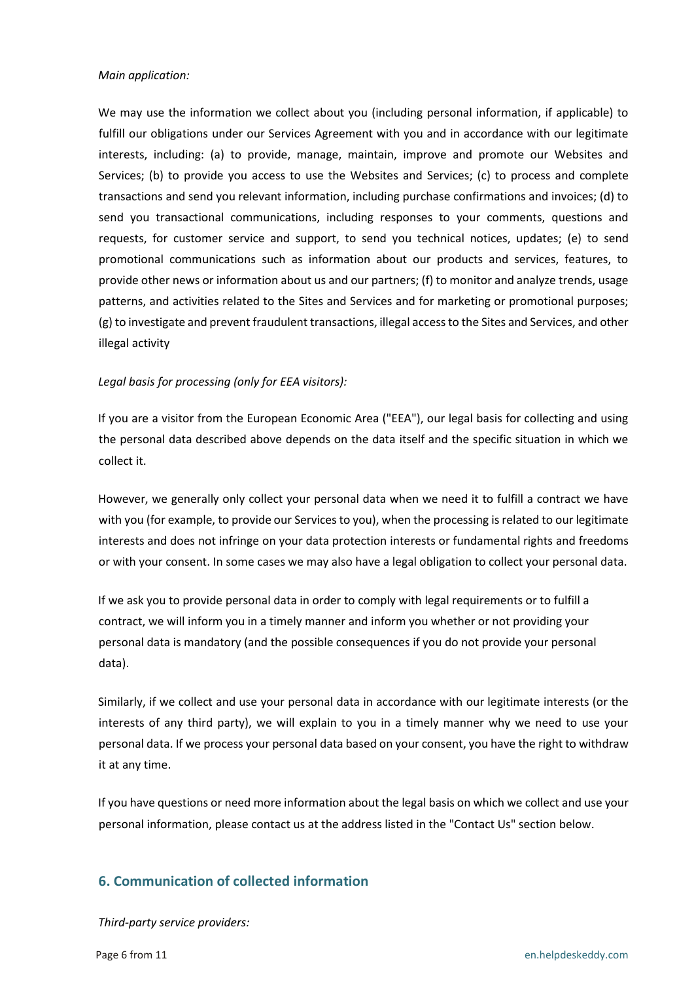#### *Main application:*

We may use the information we collect about you (including personal information, if applicable) to fulfill our obligations under our Services Agreement with you and in accordance with our legitimate interests, including: (a) to provide, manage, maintain, improve and promote our Websites and Services; (b) to provide you access to use the Websites and Services; (c) to process and complete transactions and send you relevant information, including purchase confirmations and invoices; (d) to send you transactional communications, including responses to your comments, questions and requests, for customer service and support, to send you technical notices, updates; (e) to send promotional communications such as information about our products and services, features, to provide other news or information about us and our partners; (f) to monitor and analyze trends, usage patterns, and activities related to the Sites and Services and for marketing or promotional purposes; (g) to investigate and prevent fraudulent transactions, illegal access to the Sites and Services, and other illegal activity

## *Legal basis for processing (only for EEA visitors):*

If you are a visitor from the European Economic Area ("EEA"), our legal basis for collecting and using the personal data described above depends on the data itself and the specific situation in which we collect it.

However, we generally only collect your personal data when we need it to fulfill a contract we have with you (for example, to provide our Services to you), when the processing is related to our legitimate interests and does not infringe on your data protection interests or fundamental rights and freedoms or with your consent. In some cases we may also have a legal obligation to collect your personal data.

If we ask you to provide personal data in order to comply with legal requirements or to fulfill a contract, we will inform you in a timely manner and inform you whether or not providing your personal data is mandatory (and the possible consequences if you do not provide your personal data).

Similarly, if we collect and use your personal data in accordance with our legitimate interests (or the interests of any third party), we will explain to you in a timely manner why we need to use your personal data. If we process your personal data based on your consent, you have the right to withdraw it at any time.

If you have questions or need more information about the legal basis on which we collect and use your personal information, please contact us at the address listed in the "Contact Us" section below.

# **6. Communication of collected information**

*Third-party service providers:*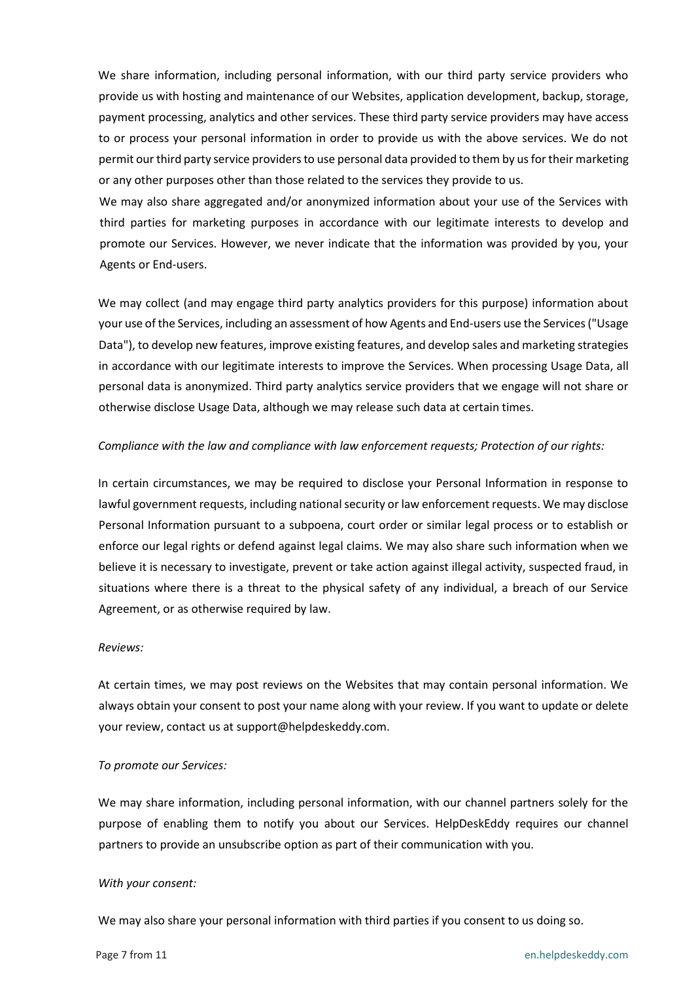We share information, including personal information, with our third party service providers who provide us with hosting and maintenance of our Websites, application development, backup, storage, payment processing, analytics and other services. These third party service providers may have access to or process your personal information in order to provide us with the above services. We do not permit our third party service providers to use personal data provided to them by us for their marketing or any other purposes other than those related to the services they provide to us.

We may also share aggregated and/or anonymized information about your use of the Services with third parties for marketing purposes in accordance with our legitimate interests to develop and promote our Services. However, we never indicate that the information was provided by you, your Agents or End-users.

We may collect (and may engage third party analytics providers for this purpose) information about your use of the Services, including an assessment of how Agents and End-users use the Services ("Usage Data"), to develop new features, improve existing features, and develop sales and marketing strategies in accordance with our legitimate interests to improve the Services. When processing Usage Data, all personal data is anonymized. Third party analytics service providers that we engage will not share or otherwise disclose Usage Data, although we may release such data at certain times.

#### *Compliance with the law and compliance with law enforcement requests; Protection of our rights:*

In certain circumstances, we may be required to disclose your Personal Information in response to lawful government requests, including national security or law enforcement requests. We may disclose Personal Information pursuant to a subpoena, court order or similar legal process or to establish or enforce our legal rights or defend against legal claims. We may also share such information when we believe it is necessary to investigate, prevent or take action against illegal activity, suspected fraud, in situations where there is a threat to the physical safety of any individual, a breach of our Service Agreement, or as otherwise required by law.

#### *Reviews:*

At certain times, we may post reviews on the Websites that may contain personal information. We always obtain your consent to post your name along with your review. If you want to update or delete your review, contact us at support@helpdeskeddy.com.

## *To promote our Services:*

We may share information, including personal information, with our channel partners solely for the purpose of enabling them to notify you about our Services. HelpDeskEddy requires our channel partners to provide an unsubscribe option as part of their communication with you.

#### *With your consent:*

We may also share your personal information with third parties if you consent to us doing so.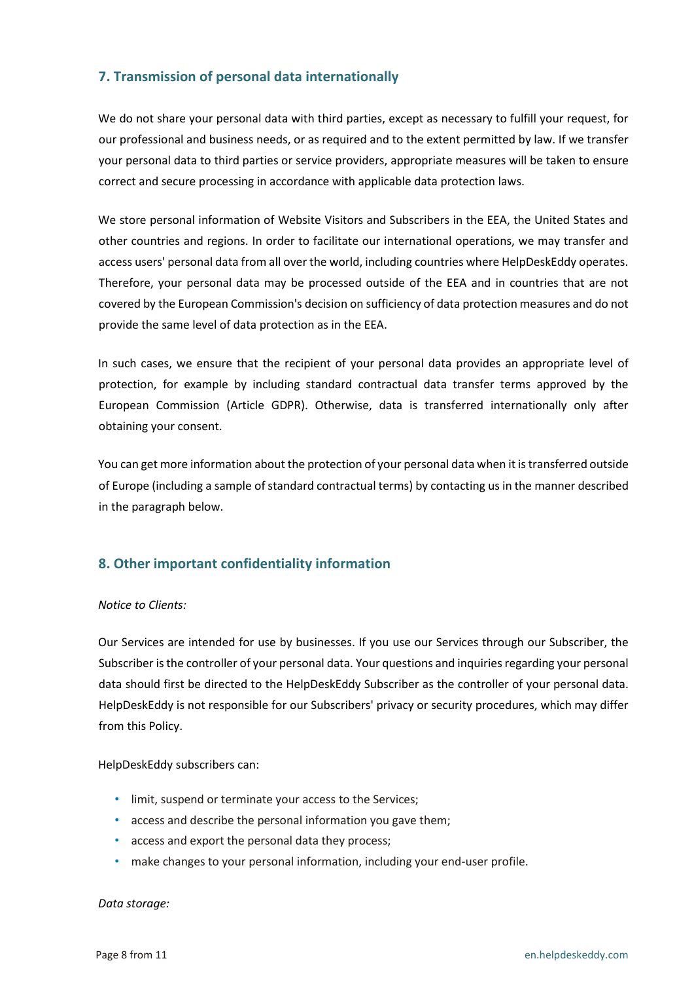# **7. Transmission of personal data internationally**

We do not share your personal data with third parties, except as necessary to fulfill your request, for our professional and business needs, or as required and to the extent permitted by law. If we transfer your personal data to third parties or service providers, appropriate measures will be taken to ensure correct and secure processing in accordance with applicable data protection laws.

We store personal information of Website Visitors and Subscribers in the EEA, the United States and other countries and regions. In order to facilitate our international operations, we may transfer and access users' personal data from all over the world, including countries where HelpDeskEddy operates. Therefore, your personal data may be processed outside of the EEA and in countries that are not covered by the European Commission's decision on sufficiency of data protection measures and do not provide the same level of data protection as in the EEA.

In such cases, we ensure that the recipient of your personal data provides an appropriate level of protection, for example by including standard contractual data transfer terms approved by the European Commission (Article GDPR). Otherwise, data is transferred internationally only after obtaining your consent.

You can get more information about the protection of your personal data when it is transferred outside of Europe (including a sample of standard contractual terms) by contacting us in the manner described in the paragraph below.

# **8. Other important confidentiality information**

## *Notice to Clients:*

Our Services are intended for use by businesses. If you use our Services through our Subscriber, the Subscriber is the controller of your personal data. Your questions and inquiries regarding your personal data should first be directed to the HelpDeskEddy Subscriber as the controller of your personal data. HelpDeskEddy is not responsible for our Subscribers' privacy or security procedures, which may differ from this Policy.

HelpDeskEddy subscribers can:

- limit, suspend or terminate your access to the Services;
- access and describe the personal information you gave them;
- access and export the personal data they process;
- make changes to your personal information, including your end-user profile.

## *Data storage:*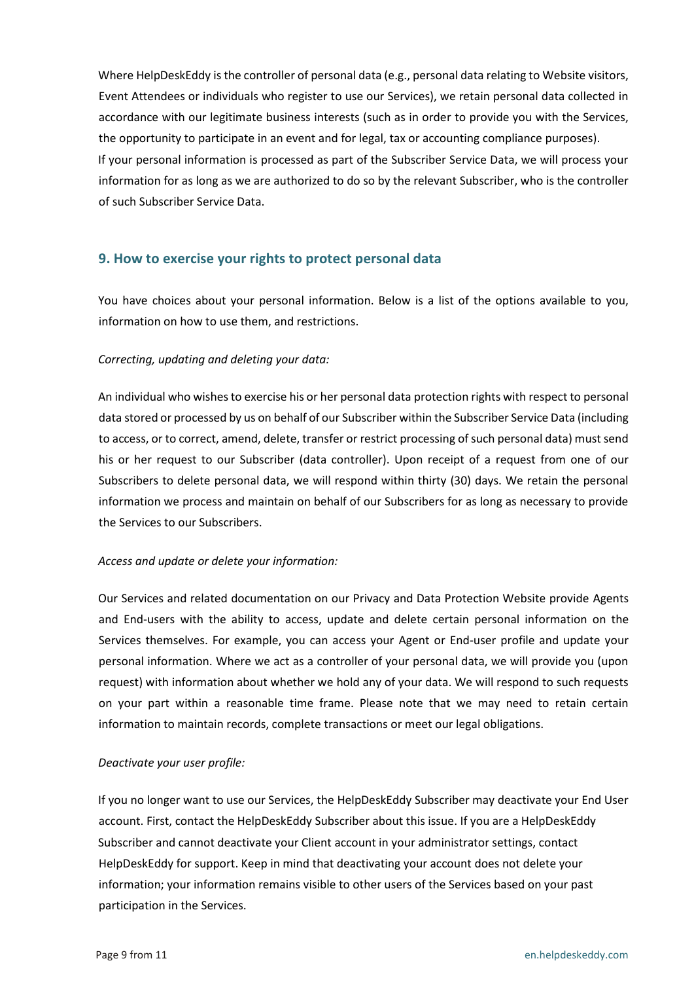Where HelpDeskEddy is the controller of personal data (e.g., personal data relating to Website visitors, Event Attendees or individuals who register to use our Services), we retain personal data collected in accordance with our legitimate business interests (such as in order to provide you with the Services, the opportunity to participate in an event and for legal, tax or accounting compliance purposes). If your personal information is processed as part of the Subscriber Service Data, we will process your information for as long as we are authorized to do so by the relevant Subscriber, who is the controller of such Subscriber Service Data.

# **9. How to exercise your rights to protect personal data**

You have choices about your personal information. Below is a list of the options available to you, information on how to use them, and restrictions.

## *Correcting, updating and deleting your data:*

An individual who wishes to exercise his or her personal data protection rights with respect to personal data stored or processed by us on behalf of our Subscriber within the Subscriber Service Data (including to access, or to correct, amend, delete, transfer or restrict processing of such personal data) must send his or her request to our Subscriber (data controller). Upon receipt of a request from one of our Subscribers to delete personal data, we will respond within thirty (30) days. We retain the personal information we process and maintain on behalf of our Subscribers for as long as necessary to provide the Services to our Subscribers.

## *Access and update or delete your information:*

Our Services and related documentation on our Privacy and Data Protection Website provide Agents and End-users with the ability to access, update and delete certain personal information on the Services themselves. For example, you can access your Agent or End-user profile and update your personal information. Where we act as a controller of your personal data, we will provide you (upon request) with information about whether we hold any of your data. We will respond to such requests on your part within a reasonable time frame. Please note that we may need to retain certain information to maintain records, complete transactions or meet our legal obligations.

## *Deactivate your user profile:*

If you no longer want to use our Services, the HelpDeskEddy Subscriber may deactivate your End User account. First, contact the HelpDeskEddy Subscriber about this issue. If you are a HelpDeskEddy Subscriber and cannot deactivate your Client account in your administrator settings, contact HelpDeskEddy for support. Keep in mind that deactivating your account does not delete your information; your information remains visible to other users of the Services based on your past participation in the Services.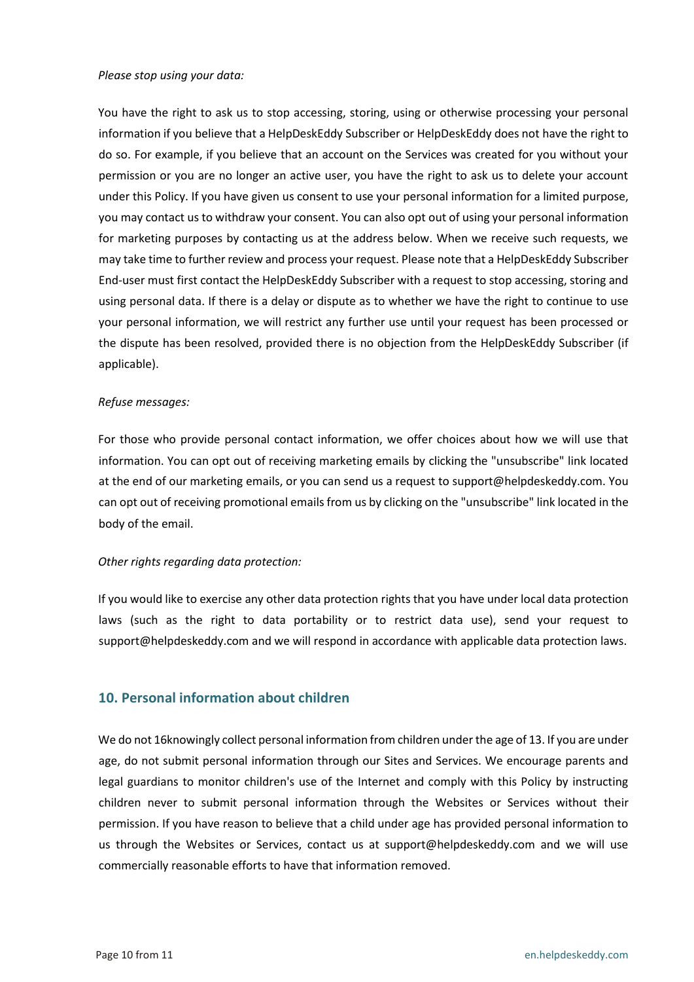#### *Please stop using your data:*

You have the right to ask us to stop accessing, storing, using or otherwise processing your personal information if you believe that a HelpDeskEddy Subscriber or HelpDeskEddy does not have the right to do so. For example, if you believe that an account on the Services was created for you without your permission or you are no longer an active user, you have the right to ask us to delete your account under this Policy. If you have given us consent to use your personal information for a limited purpose, you may contact us to withdraw your consent. You can also opt out of using your personal information for marketing purposes by contacting us at the address below. When we receive such requests, we may take time to further review and process your request. Please note that a HelpDeskEddy Subscriber End-user must first contact the HelpDeskEddy Subscriber with a request to stop accessing, storing and using personal data. If there is a delay or dispute as to whether we have the right to continue to use your personal information, we will restrict any further use until your request has been processed or the dispute has been resolved, provided there is no objection from the HelpDeskEddy Subscriber (if applicable).

## *Refuse messages:*

For those who provide personal contact information, we offer choices about how we will use that information. You can opt out of receiving marketing emails by clicking the "unsubscribe" link located at the end of our marketing emails, or you can send us a request to support@helpdeskeddy.com. You can opt out of receiving promotional emails from us by clicking on the "unsubscribe" link located in the body of the email.

## *Other rights regarding data protection:*

If you would like to exercise any other data protection rights that you have under local data protection laws (such as the right to data portability or to restrict data use), send your request to support@helpdeskeddy.com and we will respond in accordance with applicable data protection laws.

## **10. Personal information about children**

We do not 16knowingly collect personal information from children under the age of 13. If you are under age, do not submit personal information through our Sites and Services. We encourage parents and legal guardians to monitor children's use of the Internet and comply with this Policy by instructing children never to submit personal information through the Websites or Services without their permission. If you have reason to believe that a child under age has provided personal information to us through the Websites or Services, contact us at support@helpdeskeddy.com and we will use commercially reasonable efforts to have that information removed.